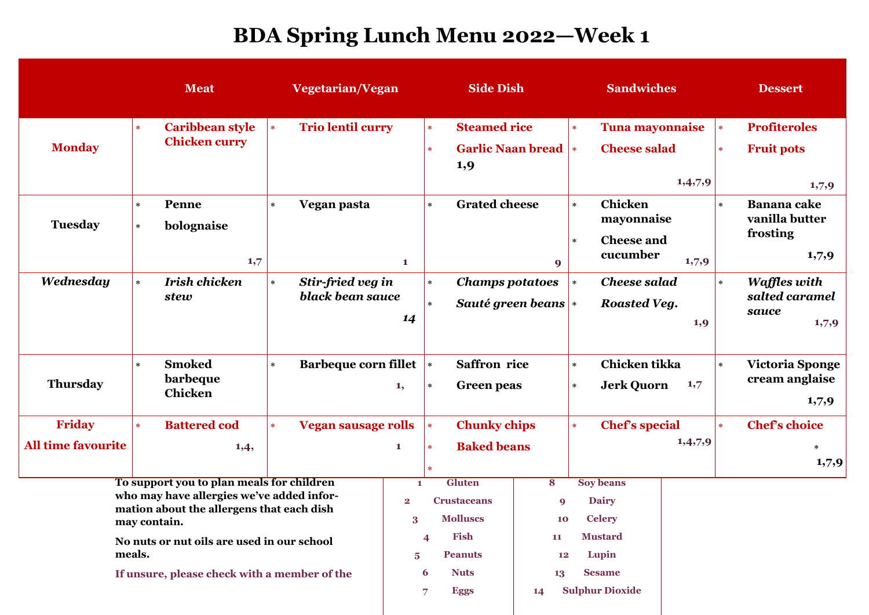## **BDA Spring Lunch Menu 2022—Week 1**

|                                                                                                                                                                                                                                                             | <b>Meat</b>                                              | Vegetarian/Vegan                                 |                                      | <b>Side Dish</b>                                                                      |          | <b>Sandwiches</b>                                                                   |         | <b>Dessert</b>                                                      |
|-------------------------------------------------------------------------------------------------------------------------------------------------------------------------------------------------------------------------------------------------------------|----------------------------------------------------------|--------------------------------------------------|--------------------------------------|---------------------------------------------------------------------------------------|----------|-------------------------------------------------------------------------------------|---------|---------------------------------------------------------------------|
| <b>Monday</b>                                                                                                                                                                                                                                               | <b>Caribbean style</b><br>$\ast$<br><b>Chicken curry</b> | <b>Trio lentil curry</b><br>$\ast$               |                                      | <b>Steamed rice</b><br>$\ast$                                                         |          | <b>Tuna mayonnaise</b><br>$\ast$                                                    |         | <b>Profiteroles</b><br>$\ast$                                       |
|                                                                                                                                                                                                                                                             |                                                          |                                                  |                                      | <b>Garlic Naan bread  *</b><br>$\ast$<br>1,9                                          |          | <b>Cheese salad</b>                                                                 | 1,4,7,9 | <b>Fruit pots</b><br>$\ast$<br>1,7,9                                |
| <b>Tuesday</b>                                                                                                                                                                                                                                              | Penne<br>$\star$<br>bolognaise<br>$\ast$<br>1,7          | Vegan pasta<br>$\star$                           | $\mathbf{1}$                         | <b>Grated cheese</b><br>$\star$                                                       | 9        | <b>Chicken</b><br>$\star$<br>mayonnaise<br><b>Cheese and</b><br>$\star$<br>cucumber | 1,7,9   | <b>Banana</b> cake<br>$\ast$<br>vanilla butter<br>frosting<br>1,7,9 |
| Wednesday                                                                                                                                                                                                                                                   | <b>Irish chicken</b><br>$\ast$<br>stew                   | Stir-fried veg in<br>$\star$<br>black bean sauce | 14                                   | <b>Champs potatoes</b><br>$\star$<br>Sauté green beans $\vert \cdot \vert$<br>$\star$ |          | <b>Cheese salad</b><br>$\star$<br><b>Roasted Veg.</b>                               | 1,9     | <b>Waffles with</b><br>$\ast$<br>salted caramel<br>sauce<br>1,7,9   |
| <b>Thursday</b>                                                                                                                                                                                                                                             | <b>Smoked</b><br>$\ast$<br>barbeque<br>Chicken           | <b>Barbeque corn fillet</b><br>$\star$           | 1,                                   | <b>Saffron</b> rice<br>$\ast$<br><b>Green</b> peas<br>$\star$                         |          | Chicken tikka<br>$\ast$<br><b>Jerk Quorn</b><br>$\ast$                              | 1,7     | <b>Victoria Sponge</b><br>$\ast$<br>cream anglaise<br>1,7,9         |
| Friday                                                                                                                                                                                                                                                      | <b>Battered cod</b><br>$\ast$                            | <b>Vegan sausage rolls</b><br>$\mathbf{R}$       |                                      | <b>Chunky chips</b><br>$\ast$                                                         |          | <b>Chef's special</b><br>$\ast$                                                     |         | <b>Chef's choice</b><br>$\ast$                                      |
| <b>All time favourite</b>                                                                                                                                                                                                                                   | 1,4,                                                     |                                                  | $\mathbf{1}$                         | <b>Baked beans</b><br>$\ast$                                                          |          |                                                                                     | 1,4,7,9 | $\ast$<br>1,7,9                                                     |
| To support you to plan meals for children<br>who may have allergies we've added infor-<br>mation about the allergens that each dish<br>may contain.<br>No nuts or nut oils are used in our school<br>meals.<br>If unsure, please check with a member of the |                                                          |                                                  | 1<br>$\overline{2}$<br>3             | <b>Gluten</b><br><b>Crustaceans</b><br><b>Molluscs</b>                                | 8<br>9   | <b>Soy beans</b><br><b>Dairy</b><br><b>Celery</b><br>10                             |         |                                                                     |
|                                                                                                                                                                                                                                                             |                                                          |                                                  | Fish<br>4<br><b>Peanuts</b><br>5     |                                                                                       | 11<br>12 | <b>Mustard</b><br>Lupin                                                             |         |                                                                     |
|                                                                                                                                                                                                                                                             |                                                          |                                                  | <b>Nuts</b><br>6<br><b>Eggs</b><br>7 |                                                                                       | 14       | <b>Sesame</b><br>13<br><b>Sulphur Dioxide</b>                                       |         |                                                                     |